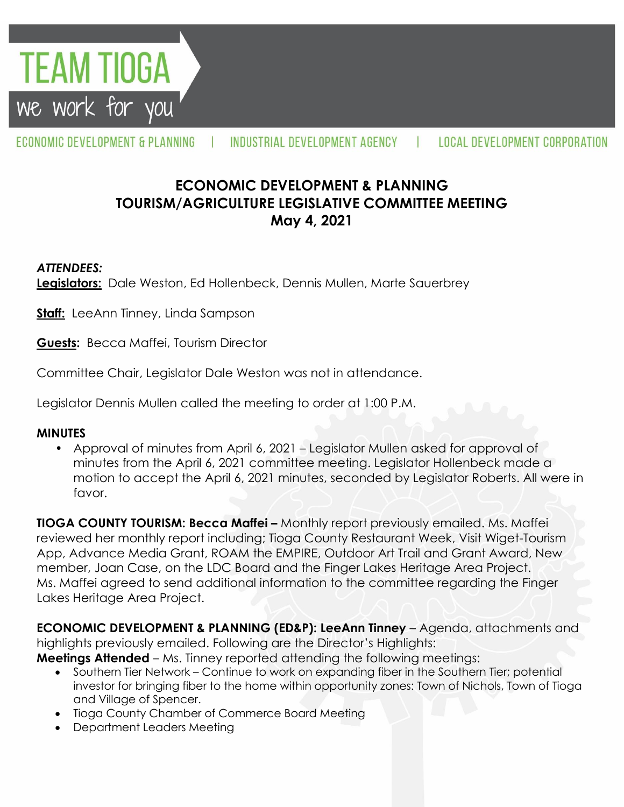*TEAM TIOGA* we work for you

ECONOMIC DEVELOPMENT & PLANNING

INDUSTRIAL DEVELOPMENT AGENCY

 $\mathbf{r}$ 

# **ECONOMIC DEVELOPMENT & PLANNING TOURISM/AGRICULTURE LEGISLATIVE COMMITTEE MEETING May 4, 2021**

### *ATTENDEES:*

**Legislators:** Dale Weston, Ed Hollenbeck, Dennis Mullen, Marte Sauerbrey

**Staff:** LeeAnn Tinney, Linda Sampson

**Guests:** Becca Maffei, Tourism Director

Committee Chair, Legislator Dale Weston was not in attendance.

Legislator Dennis Mullen called the meeting to order at 1:00 P.M.

### **MINUTES**

• Approval of minutes from April 6, 2021 – Legislator Mullen asked for approval of minutes from the April 6, 2021 committee meeting. Legislator Hollenbeck made a motion to accept the April 6, 2021 minutes, seconded by Legislator Roberts. All were in favor.

**TIOGA COUNTY TOURISM: Becca Maffei –** Monthly report previously emailed. Ms. Maffei reviewed her monthly report including; Tioga County Restaurant Week, Visit Wiget-Tourism App, Advance Media Grant, ROAM the EMPIRE, Outdoor Art Trail and Grant Award, New member, Joan Case, on the LDC Board and the Finger Lakes Heritage Area Project. Ms. Maffei agreed to send additional information to the committee regarding the Finger Lakes Heritage Area Project.

**ECONOMIC DEVELOPMENT & PLANNING (ED&P): LeeAnn Tinney** – Agenda, attachments and highlights previously emailed. Following are the Director's Highlights:

**Meetings Attended** – Ms. Tinney reported attending the following meetings:

- Southern Tier Network Continue to work on expanding fiber in the Southern Tier; potential investor for bringing fiber to the home within opportunity zones: Town of Nichols, Town of Tioga and Village of Spencer.
- Tioga County Chamber of Commerce Board Meeting
- Department Leaders Meeting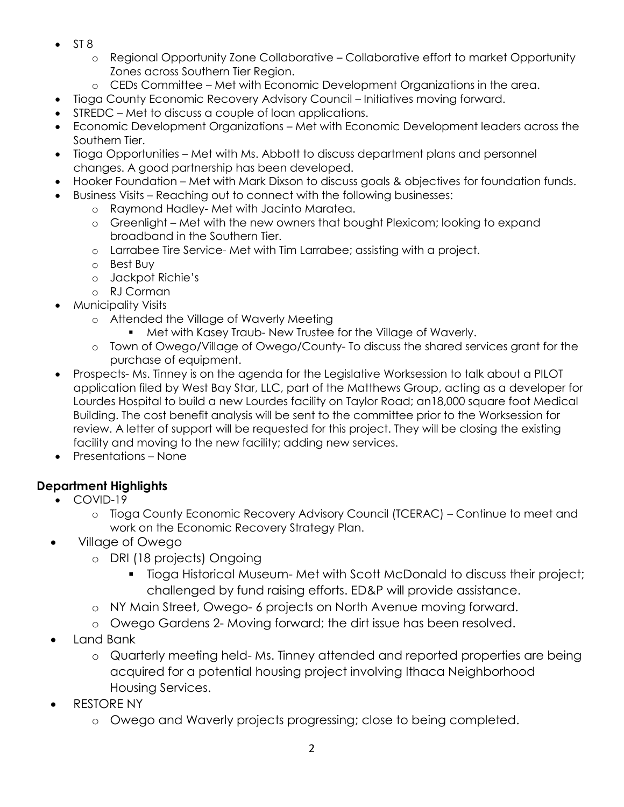- $\bullet$  ST 8
	- o Regional Opportunity Zone Collaborative Collaborative effort to market Opportunity Zones across Southern Tier Region.
	- o CEDs Committee Met with Economic Development Organizations in the area.
- Tioga County Economic Recovery Advisory Council Initiatives moving forward.
- STREDC Met to discuss a couple of loan applications.
- Economic Development Organizations Met with Economic Development leaders across the Southern Tier.
- Tioga Opportunities Met with Ms. Abbott to discuss department plans and personnel changes. A good partnership has been developed.
- Hooker Foundation Met with Mark Dixson to discuss goals & objectives for foundation funds.
- Business Visits Reaching out to connect with the following businesses:
	- o Raymond Hadley- Met with Jacinto Maratea.
	- o Greenlight Met with the new owners that bought Plexicom; looking to expand broadband in the Southern Tier.
	- o Larrabee Tire Service- Met with Tim Larrabee; assisting with a project.
	- o Best Buy
	- o Jackpot Richie's
	- o RJ Corman
- Municipality Visits
	- o Attended the Village of Waverly Meeting
		- Met with Kasey Traub- New Trustee for the Village of Waverly.
	- o Town of Owego/Village of Owego/County- To discuss the shared services grant for the purchase of equipment.
- Prospects- Ms. Tinney is on the agenda for the Legislative Worksession to talk about a PILOT application filed by West Bay Star, LLC, part of the Matthews Group, acting as a developer for Lourdes Hospital to build a new Lourdes facility on Taylor Road; an18,000 square foot Medical Building. The cost benefit analysis will be sent to the committee prior to the Worksession for review. A letter of support will be requested for this project. They will be closing the existing facility and moving to the new facility; adding new services.
- Presentations None

## **Department Highlights**

- COVID-19
	- o Tioga County Economic Recovery Advisory Council (TCERAC) Continue to meet and work on the Economic Recovery Strategy Plan.
- Village of Owego
	- o DRI (18 projects) Ongoing
		- Tioga Historical Museum- Met with Scott McDonald to discuss their project; challenged by fund raising efforts. ED&P will provide assistance.
	- o NY Main Street, Owego- 6 projects on North Avenue moving forward.
	- o Owego Gardens 2- Moving forward; the dirt issue has been resolved.
- Land Bank
	- o Quarterly meeting held- Ms. Tinney attended and reported properties are being acquired for a potential housing project involving Ithaca Neighborhood Housing Services.
- RESTORE NY
	- o Owego and Waverly projects progressing; close to being completed.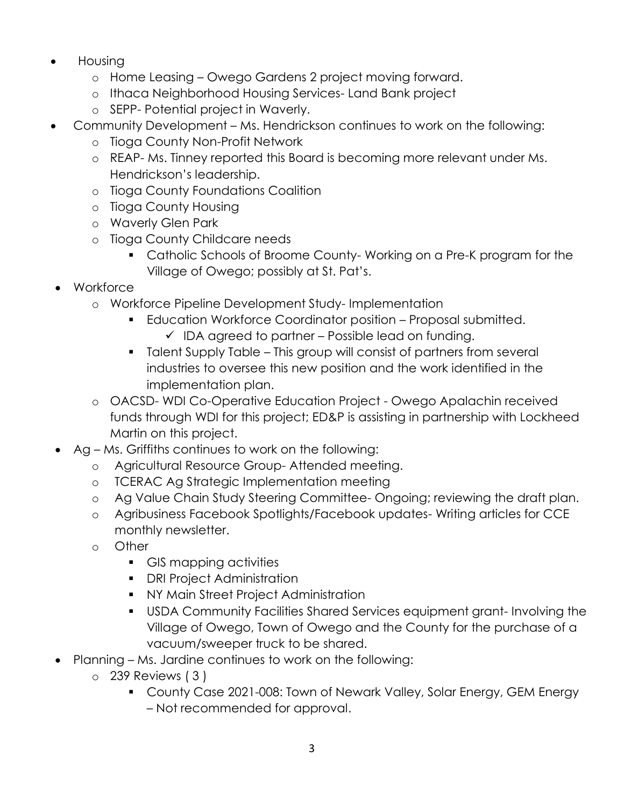- Housing
	- o Home Leasing Owego Gardens 2 project moving forward.
	- o Ithaca Neighborhood Housing Services- Land Bank project
	- o SEPP- Potential project in Waverly.
- Community Development Ms. Hendrickson continues to work on the following:
	- o Tioga County Non-Profit Network
	- o REAP- Ms. Tinney reported this Board is becoming more relevant under Ms. Hendrickson's leadership.
	- o Tioga County Foundations Coalition
	- o Tioga County Housing
	- o Waverly Glen Park
	- o Tioga County Childcare needs
		- Catholic Schools of Broome County- Working on a Pre-K program for the Village of Owego; possibly at St. Pat's.
- Workforce
	- o Workforce Pipeline Development Study- Implementation
		- Education Workforce Coordinator position Proposal submitted.
			- $\checkmark$  IDA agreed to partner Possible lead on funding.
		- Talent Supply Table This group will consist of partners from several industries to oversee this new position and the work identified in the implementation plan.
	- o OACSD- WDI Co-Operative Education Project Owego Apalachin received funds through WDI for this project; ED&P is assisting in partnership with Lockheed Martin on this project.
- Ag Ms. Griffiths continues to work on the following:
	- o Agricultural Resource Group- Attended meeting.
	- o TCERAC Ag Strategic Implementation meeting
	- o Ag Value Chain Study Steering Committee- Ongoing; reviewing the draft plan.
	- o Agribusiness Facebook Spotlights/Facebook updates- Writing articles for CCE monthly newsletter.
	- o Other
		- GIS mapping activities
		- **•** DRI Project Administration
		- **NY Main Street Project Administration**
		- USDA Community Facilities Shared Services equipment grant- Involving the Village of Owego, Town of Owego and the County for the purchase of a vacuum/sweeper truck to be shared.
- Planning Ms. Jardine continues to work on the following:
	- o 239 Reviews ( 3 )
		- **County Case 2021-008: Town of Newark Valley, Solar Energy, GEM Energy** – Not recommended for approval.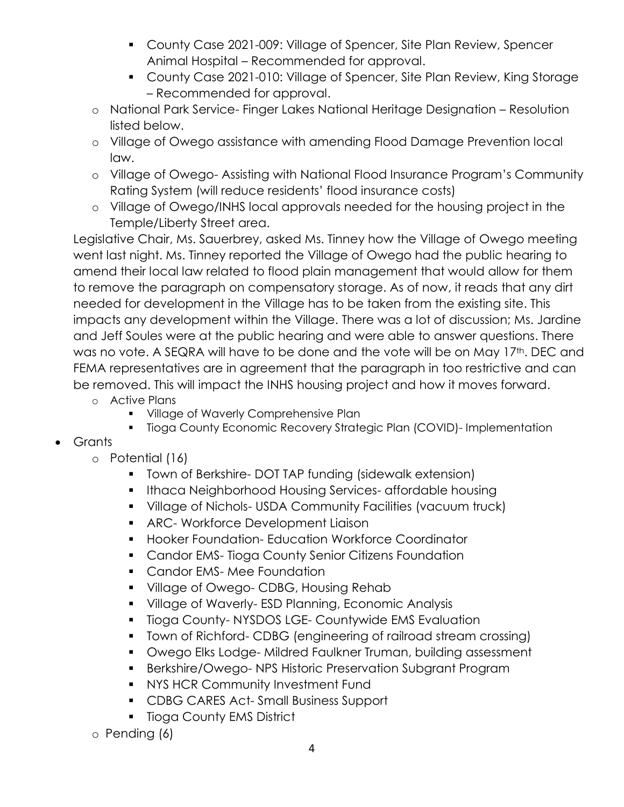- County Case 2021-009: Village of Spencer, Site Plan Review, Spencer Animal Hospital – Recommended for approval.
- County Case 2021-010: Village of Spencer, Site Plan Review, King Storage – Recommended for approval.
- o National Park Service- Finger Lakes National Heritage Designation Resolution listed below.
- o Village of Owego assistance with amending Flood Damage Prevention local law.
- o Village of Owego- Assisting with National Flood Insurance Program's Community Rating System (will reduce residents' flood insurance costs)
- o Village of Owego/INHS local approvals needed for the housing project in the Temple/Liberty Street area.

Legislative Chair, Ms. Sauerbrey, asked Ms. Tinney how the Village of Owego meeting went last night. Ms. Tinney reported the Village of Owego had the public hearing to amend their local law related to flood plain management that would allow for them to remove the paragraph on compensatory storage. As of now, it reads that any dirt needed for development in the Village has to be taken from the existing site. This impacts any development within the Village. There was a lot of discussion; Ms. Jardine and Jeff Soules were at the public hearing and were able to answer questions. There was no vote. A SEQRA will have to be done and the vote will be on May 17th. DEC and FEMA representatives are in agreement that the paragraph in too restrictive and can be removed. This will impact the INHS housing project and how it moves forward.

- o Active Plans
	- **Village of Waverly Comprehensive Plan**
	- Tioga County Economic Recovery Strategic Plan (COVID)- Implementation
- Grants
	- o Potential (16)
		- **T** Town of Berkshire- DOT TAP funding (sidewalk extension)
		- **Ithaca Neighborhood Housing Services- affordable housing**
		- Village of Nichols- USDA Community Facilities (vacuum truck)
		- **ARC- Workforce Development Liaison**
		- **Hooker Foundation- Education Workforce Coordinator**
		- **Candor EMS- Tioga County Senior Citizens Foundation**
		- **Candor EMS-Mee Foundation**
		- **Village of Owego- CDBG, Housing Rehab**
		- **Village of Waverly-ESD Planning, Economic Analysis**
		- **Tioga County-NYSDOS LGE- Countywide EMS Evaluation**
		- Town of Richford- CDBG (engineering of railroad stream crossing)
		- Owego Elks Lodge- Mildred Faulkner Truman, building assessment
		- Berkshire/Owego- NPS Historic Preservation Subgrant Program
		- **NYS HCR Community Investment Fund**
		- **CDBG CARES Act-Small Business Support**
		- **Tioga County EMS District**
	- o Pending (6)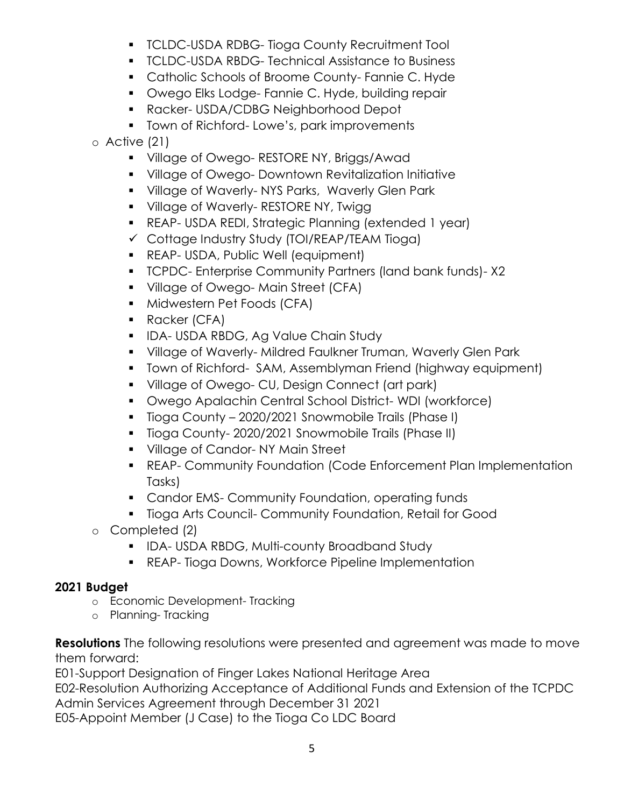- **TCLDC-USDA RDBG- Tioga County Recruitment Tool**
- **TCLDC-USDA RBDG- Technical Assistance to Business**
- **Catholic Schools of Broome County- Fannie C. Hyde**
- **Dwego Elks Lodge- Fannie C. Hyde, building repair**
- Racker- USDA/CDBG Neighborhood Depot
- **Town of Richford- Lowe's, park improvements**

o Active (21)

- **Village of Owego- RESTORE NY, Briggs/Awad**
- **Village of Owego- Downtown Revitalization Initiative**
- **Village of Waverly-NYS Parks, Waverly Glen Park**
- **Village of Waverly- RESTORE NY, Twigg 1**
- REAP- USDA REDI, Strategic Planning (extended 1 year)
- $\checkmark$  Cottage Industry Study (TOI/REAP/TEAM Tioga)
- **REAP- USDA, Public Well (equipment)**
- TCPDC- Enterprise Community Partners (land bank funds)- X2
- **Village of Owego-Main Street (CFA)**
- **Midwestern Pet Foods (CFA)**
- **Racker (CFA)**
- **IDA- USDA RBDG, Ag Value Chain Study**
- Village of Waverly- Mildred Faulkner Truman, Waverly Glen Park
- **T** Town of Richford- SAM, Assemblyman Friend (highway equipment)
- **Village of Owego- CU, Design Connect (art park)**
- Owego Apalachin Central School District- WDI (workforce)
- **Tioga County 2020/2021 Snowmobile Trails (Phase I)**
- **Tioga County-2020/2021 Snowmobile Trails (Phase II)**
- **Village of Candor-NY Main Street**
- REAP- Community Foundation (Code Enforcement Plan Implementation Tasks)
- **Candor EMS- Community Foundation, operating funds**
- **Tioga Arts Council- Community Foundation, Retail for Good**
- o Completed (2)
	- **IDA-USDA RBDG, Multi-county Broadband Study**
	- **REAP- Tioga Downs, Workforce Pipeline Implementation**

## **2021 Budget**

- o Economic Development- Tracking
- o Planning- Tracking

**Resolutions** The following resolutions were presented and agreement was made to move them forward:

E01-Support Designation of Finger Lakes National Heritage Area

E02-Resolution Authorizing Acceptance of Additional Funds and Extension of the TCPDC Admin Services Agreement through December 31 2021

E05-Appoint Member (J Case) to the Tioga Co LDC Board